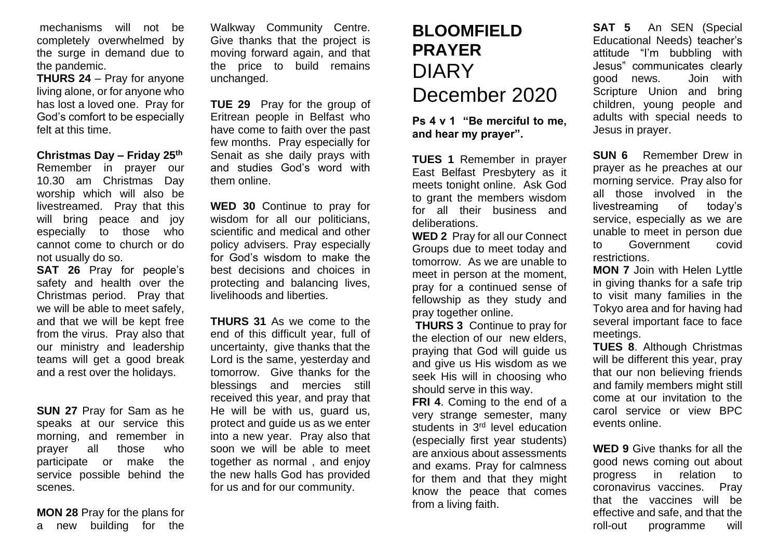mechanisms will not be completely overwhelmed by the surge in demand due to the pandemic.

**THURS 24** – Pray for anyone living alone, or for anyone who has lost a loved one. Pray for God's comfort to be especially felt at this time.

**Christmas Day – Friday 25th**

Remember in prayer our 10.30 am Christmas Day worship which will also be livestreamed. Pray that this will bring peace and joy especially to those who cannot come to church or do not usually do so.

**SAT 26** Pray for people's safety and health over the Christmas period. Pray that we will be able to meet safely, and that we will be kept free from the virus. Pray also that our ministry and leadership teams will get a good break and a rest over the holidays.

**SUN 27** Pray for Sam as he speaks at our service this morning, and remember in prayer all those who participate or make the service possible behind the scenes.

**MON 28** Pray for the plans for a new building for the

Walkway Community Centre. Give thanks that the project is moving forward again, and that the price to build remains unchanged.

**TUE 29** Pray for the group of Eritrean people in Belfast who have come to faith over the past few months. Pray especially for Senait as she daily prays with and studies God's word with them online.

**WED 30** Continue to pray for wisdom for all our politicians, scientific and medical and other policy advisers. Pray especially for God's wisdom to make the best decisions and choices in protecting and balancing lives, livelihoods and liberties.

**THURS 31** As we come to the end of this difficult year, full of uncertainty, give thanks that the Lord is the same, yesterday and tomorrow. Give thanks for the blessings and mercies still received this year, and pray that He will be with us, guard us, protect and guide us as we enter into a new year. Pray also that soon we will be able to meet together as normal , and enjoy the new halls God has provided for us and for our community.

## **BLOOMFIELD PRAYER**  DIARY December 2020

**Ps 4 v 1 "Be merciful to me, and hear my prayer".**

**TUES 1** Remember in prayer East Belfast Presbytery as it meets tonight online. Ask God to grant the members wisdom for all their business and deliberations.

**WED 2** Pray for all our Connect Groups due to meet today and tomorrow. As we are unable to meet in person at the moment, pray for a continued sense of fellowship as they study and pray together online.

**THURS 3** Continue to pray for the election of our new elders, praying that God will guide us and give us His wisdom as we seek His will in choosing who should serve in this way.

**FRI 4**. Coming to the end of a very strange semester, many students in 3<sup>rd</sup> level education (especially first year students) are anxious about assessments and exams. Pray for calmness for them and that they might know the peace that comes from a living faith.

**SAT 5** An SEN (Special Educational Needs) teacher's attitude "I'm bubbling with Jesus" communicates clearly good news. Join with Scripture Union and bring children, young people and adults with special needs to Jesus in prayer.

**SUN 6** Remember Drew in prayer as he preaches at our morning service. Pray also for all those involved in the livestreaming of today's service, especially as we are unable to meet in person due to Government covid restrictions.

**MON 7** Join with Helen Lyttle in giving thanks for a safe trip to visit many families in the Tokyo area and for having had several important face to face meetings.

**TUES 8**. Although Christmas will be different this year, pray that our non believing friends and family members might still come at our invitation to the carol service or view BPC events online.

**WED 9** Give thanks for all the good news coming out about progress in relation to coronavirus vaccines. Pray that the vaccines will be effective and safe, and that the roll-out programme will